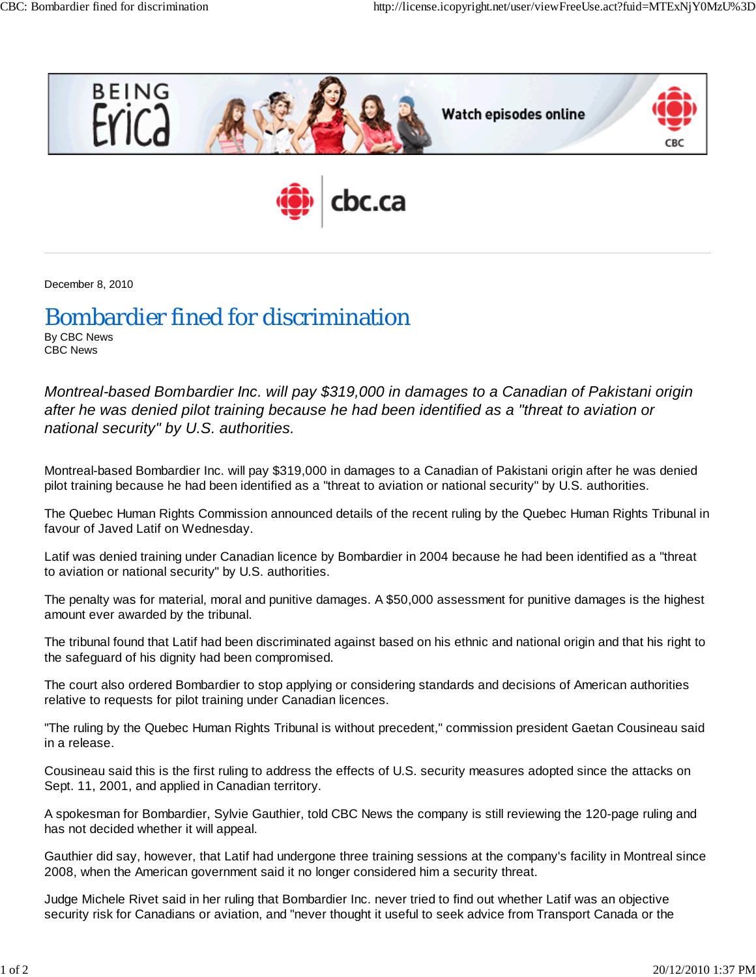

December 8, 2010

## Bombardier fined for discrimination

By CBC News CBC News

*Montreal-based Bombardier Inc. will pay \$319,000 in damages to a Canadian of Pakistani origin after he was denied pilot training because he had been identified as a "threat to aviation or national security" by U.S. authorities.*

Montreal-based Bombardier Inc. will pay \$319,000 in damages to a Canadian of Pakistani origin after he was denied pilot training because he had been identified as a "threat to aviation or national security" by U.S. authorities.

The Quebec Human Rights Commission announced details of the recent ruling by the Quebec Human Rights Tribunal in favour of Javed Latif on Wednesday.

Latif was denied training under Canadian licence by Bombardier in 2004 because he had been identified as a "threat to aviation or national security" by U.S. authorities.

The penalty was for material, moral and punitive damages. A \$50,000 assessment for punitive damages is the highest amount ever awarded by the tribunal.

The tribunal found that Latif had been discriminated against based on his ethnic and national origin and that his right to the safeguard of his dignity had been compromised.

The court also ordered Bombardier to stop applying or considering standards and decisions of American authorities relative to requests for pilot training under Canadian licences.

"The ruling by the Quebec Human Rights Tribunal is without precedent," commission president Gaetan Cousineau said in a release.

Cousineau said this is the first ruling to address the effects of U.S. security measures adopted since the attacks on Sept. 11, 2001, and applied in Canadian territory.

A spokesman for Bombardier, Sylvie Gauthier, told CBC News the company is still reviewing the 120-page ruling and has not decided whether it will appeal.

Gauthier did say, however, that Latif had undergone three training sessions at the company's facility in Montreal since 2008, when the American government said it no longer considered him a security threat.

Judge Michele Rivet said in her ruling that Bombardier Inc. never tried to find out whether Latif was an objective security risk for Canadians or aviation, and "never thought it useful to seek advice from Transport Canada or the